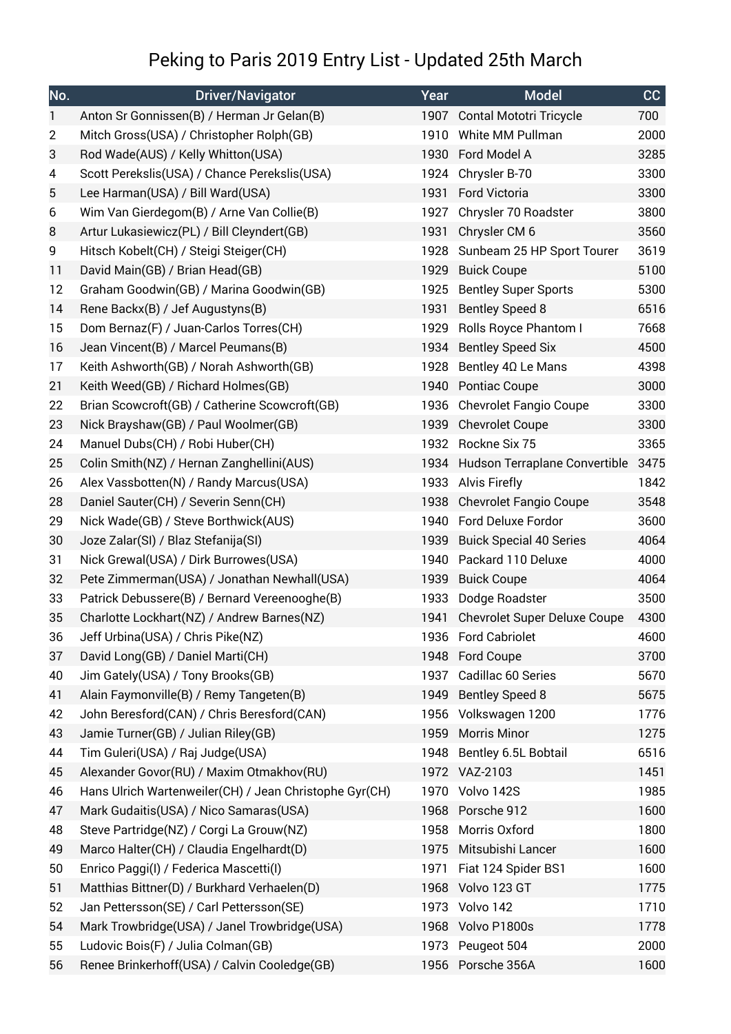## Peking to Paris 2019 Entry List - Updated 25th March

| No.            | <b>Driver/Navigator</b>                                | Year | <b>Model</b>                       | CC   |
|----------------|--------------------------------------------------------|------|------------------------------------|------|
| $\mathbf{1}$   | Anton Sr Gonnissen(B) / Herman Jr Gelan(B)             |      | 1907 Contal Mototri Tricycle       | 700  |
| $\overline{2}$ | Mitch Gross(USA) / Christopher Rolph(GB)               |      | 1910 White MM Pullman              | 2000 |
| 3              | Rod Wade(AUS) / Kelly Whitton(USA)                     |      | 1930 Ford Model A                  | 3285 |
| 4              | Scott Perekslis(USA) / Chance Perekslis(USA)           | 1924 | Chrysler B-70                      | 3300 |
| 5              | Lee Harman(USA) / Bill Ward(USA)                       | 1931 | Ford Victoria                      | 3300 |
| 6              | Wim Van Gierdegom(B) / Arne Van Collie(B)              | 1927 | Chrysler 70 Roadster               | 3800 |
| 8              | Artur Lukasiewicz(PL) / Bill Cleyndert(GB)             | 1931 | Chrysler CM 6                      | 3560 |
| 9              | Hitsch Kobelt(CH) / Steigi Steiger(CH)                 | 1928 | Sunbeam 25 HP Sport Tourer         | 3619 |
| 11             | David Main(GB) / Brian Head(GB)                        | 1929 | <b>Buick Coupe</b>                 | 5100 |
| 12             | Graham Goodwin(GB) / Marina Goodwin(GB)                | 1925 | <b>Bentley Super Sports</b>        | 5300 |
| 14             | Rene Backx(B) / Jef Augustyns(B)                       | 1931 | <b>Bentley Speed 8</b>             | 6516 |
| 15             | Dom Bernaz(F) / Juan-Carlos Torres(CH)                 |      | 1929 Rolls Royce Phantom I         | 7668 |
| 16             | Jean Vincent(B) / Marcel Peumans(B)                    |      | 1934 Bentley Speed Six             | 4500 |
| 17             | Keith Ashworth(GB) / Norah Ashworth(GB)                | 1928 | Bentley 4Ω Le Mans                 | 4398 |
| 21             | Keith Weed(GB) / Richard Holmes(GB)                    |      | 1940 Pontiac Coupe                 | 3000 |
| 22             | Brian Scowcroft(GB) / Catherine Scowcroft(GB)          |      | 1936 Chevrolet Fangio Coupe        | 3300 |
| 23             | Nick Brayshaw(GB) / Paul Woolmer(GB)                   | 1939 | <b>Chevrolet Coupe</b>             | 3300 |
| 24             | Manuel Dubs(CH) / Robi Huber(CH)                       |      | 1932 Rockne Six 75                 | 3365 |
| 25             | Colin Smith(NZ) / Hernan Zanghellini(AUS)              |      | 1934 Hudson Terraplane Convertible | 3475 |
| 26             | Alex Vassbotten(N) / Randy Marcus(USA)                 |      | 1933 Alvis Firefly                 | 1842 |
| 28             | Daniel Sauter(CH) / Severin Senn(CH)                   |      | 1938 Chevrolet Fangio Coupe        | 3548 |
| 29             | Nick Wade(GB) / Steve Borthwick(AUS)                   |      | 1940 Ford Deluxe Fordor            | 3600 |
| 30             | Joze Zalar(SI) / Blaz Stefanija(SI)                    | 1939 | <b>Buick Special 40 Series</b>     | 4064 |
| 31             | Nick Grewal(USA) / Dirk Burrowes(USA)                  |      | 1940 Packard 110 Deluxe            | 4000 |
| 32             | Pete Zimmerman(USA) / Jonathan Newhall(USA)            | 1939 | <b>Buick Coupe</b>                 | 4064 |
| 33             | Patrick Debussere(B) / Bernard Vereenooghe(B)          |      | 1933 Dodge Roadster                | 3500 |
| 35             | Charlotte Lockhart(NZ) / Andrew Barnes(NZ)             |      | 1941 Chevrolet Super Deluxe Coupe  | 4300 |
| 36             | Jeff Urbina(USA) / Chris Pike(NZ)                      |      | 1936 Ford Cabriolet                | 4600 |
| 37             | David Long(GB) / Daniel Marti(CH)                      |      | 1948 Ford Coupe                    | 3700 |
| 40             | Jim Gately(USA) / Tony Brooks(GB)                      | 1937 | Cadillac 60 Series                 | 5670 |
| 41             | Alain Faymonville(B) / Remy Tangeten(B)                | 1949 | <b>Bentley Speed 8</b>             | 5675 |
| 42             | John Beresford(CAN) / Chris Beresford(CAN)             | 1956 | Volkswagen 1200                    | 1776 |
| 43             | Jamie Turner(GB) / Julian Riley(GB)                    | 1959 | Morris Minor                       | 1275 |
| 44             | Tim Guleri(USA) / Raj Judge(USA)                       | 1948 | Bentley 6.5L Bobtail               | 6516 |
| 45             | Alexander Govor(RU) / Maxim Otmakhov(RU)               |      | 1972 VAZ-2103                      | 1451 |
| 46             | Hans Ulrich Wartenweiler(CH) / Jean Christophe Gyr(CH) |      | 1970 Volvo 142S                    | 1985 |
| 47             | Mark Gudaitis(USA) / Nico Samaras(USA)                 |      | 1968 Porsche 912                   | 1600 |
| 48             | Steve Partridge(NZ) / Corgi La Grouw(NZ)               | 1958 | Morris Oxford                      | 1800 |
| 49             | Marco Halter(CH) / Claudia Engelhardt(D)               | 1975 | Mitsubishi Lancer                  | 1600 |
| 50             | Enrico Paggi(I) / Federica Mascetti(I)                 | 1971 | Fiat 124 Spider BS1                | 1600 |
| 51             | Matthias Bittner(D) / Burkhard Verhaelen(D)            | 1968 | Volvo 123 GT                       | 1775 |
| 52             | Jan Pettersson(SE) / Carl Pettersson(SE)               |      | 1973 Volvo 142                     | 1710 |
| 54             | Mark Trowbridge(USA) / Janel Trowbridge(USA)           |      | 1968 Volvo P1800s                  | 1778 |
| 55             | Ludovic Bois(F) / Julia Colman(GB)                     |      | 1973 Peugeot 504                   | 2000 |
| 56             | Renee Brinkerhoff(USA) / Calvin Cooledge(GB)           |      | 1956 Porsche 356A                  | 1600 |
|                |                                                        |      |                                    |      |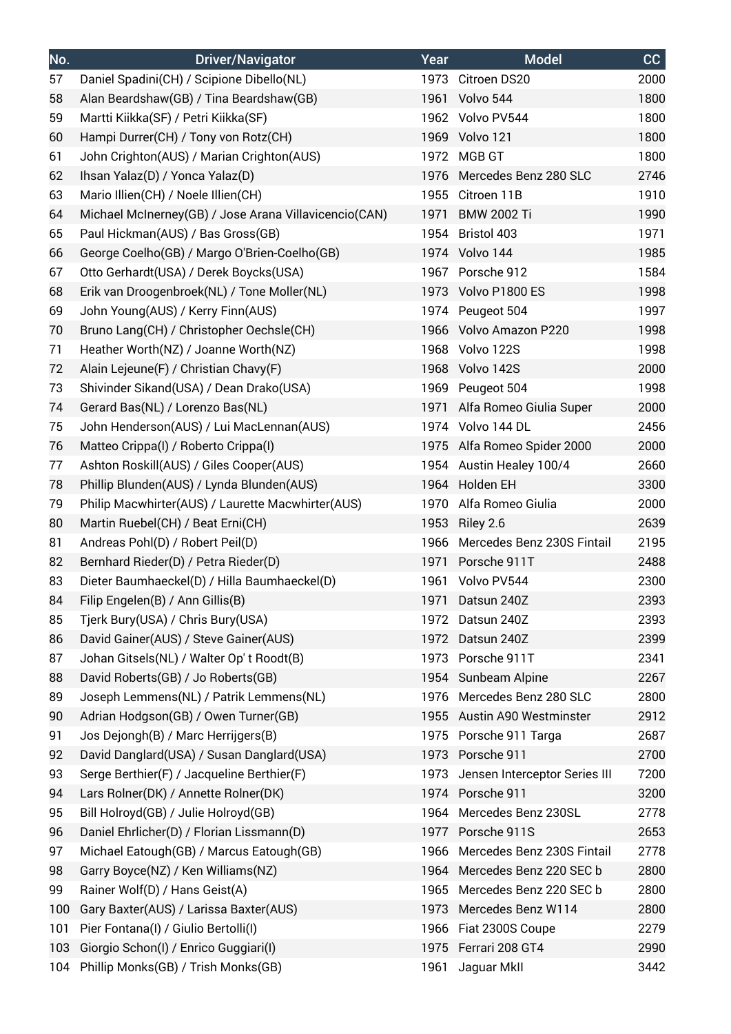| No. | <b>Driver/Navigator</b>                               | Year | <b>Model</b>                    | CC   |
|-----|-------------------------------------------------------|------|---------------------------------|------|
| 57  | Daniel Spadini(CH) / Scipione Dibello(NL)             |      | 1973 Citroen DS20               | 2000 |
| 58  | Alan Beardshaw(GB) / Tina Beardshaw(GB)               |      | 1961 Volvo 544                  | 1800 |
| 59  | Martti Kiikka(SF) / Petri Kiikka(SF)                  |      | 1962 Volvo PV544                | 1800 |
| 60  | Hampi Durrer(CH) / Tony von Rotz(CH)                  |      | 1969 Volvo 121                  | 1800 |
| 61  | John Crighton(AUS) / Marian Crighton(AUS)             | 1972 | MGB GT                          | 1800 |
| 62  | Ihsan Yalaz(D) / Yonca Yalaz(D)                       |      | 1976 Mercedes Benz 280 SLC      | 2746 |
| 63  | Mario Illien(CH) / Noele Illien(CH)                   | 1955 | Citroen 11B                     | 1910 |
| 64  | Michael McInerney(GB) / Jose Arana Villavicencio(CAN) | 1971 | <b>BMW 2002 Ti</b>              | 1990 |
| 65  | Paul Hickman(AUS) / Bas Gross(GB)                     |      | 1954 Bristol 403                | 1971 |
| 66  | George Coelho(GB) / Margo O'Brien-Coelho(GB)          |      | 1974 Volvo 144                  | 1985 |
| 67  | Otto Gerhardt(USA) / Derek Boycks(USA)                |      | 1967 Porsche 912                | 1584 |
| 68  | Erik van Droogenbroek(NL) / Tone Moller(NL)           |      | 1973 Volvo P1800 ES             | 1998 |
| 69  | John Young(AUS) / Kerry Finn(AUS)                     |      | 1974 Peugeot 504                | 1997 |
| 70  | Bruno Lang(CH) / Christopher Oechsle(CH)              |      | 1966 Volvo Amazon P220          | 1998 |
| 71  | Heather Worth(NZ) / Joanne Worth(NZ)                  |      | 1968 Volvo 122S                 | 1998 |
| 72  | Alain Lejeune(F) / Christian Chavy(F)                 |      | 1968 Volvo 142S                 | 2000 |
| 73  | Shivinder Sikand(USA) / Dean Drako(USA)               |      | 1969 Peugeot 504                | 1998 |
| 74  | Gerard Bas(NL) / Lorenzo Bas(NL)                      |      | 1971 Alfa Romeo Giulia Super    | 2000 |
| 75  | John Henderson(AUS) / Lui MacLennan(AUS)              |      | 1974 Volvo 144 DL               | 2456 |
| 76  | Matteo Crippa(I) / Roberto Crippa(I)                  |      | 1975 Alfa Romeo Spider 2000     | 2000 |
| 77  | Ashton Roskill(AUS) / Giles Cooper(AUS)               |      | 1954 Austin Healey 100/4        | 2660 |
| 78  | Phillip Blunden(AUS) / Lynda Blunden(AUS)             |      | 1964 Holden EH                  | 3300 |
| 79  | Philip Macwhirter(AUS) / Laurette Macwhirter(AUS)     |      | 1970 Alfa Romeo Giulia          | 2000 |
| 80  | Martin Ruebel(CH) / Beat Erni(CH)                     | 1953 | Riley 2.6                       | 2639 |
| 81  | Andreas Pohl(D) / Robert Peil(D)                      |      | 1966 Mercedes Benz 230S Fintail | 2195 |
| 82  | Bernhard Rieder(D) / Petra Rieder(D)                  |      | 1971 Porsche 911T               | 2488 |
| 83  | Dieter Baumhaeckel(D) / Hilla Baumhaeckel(D)          |      | 1961 Volvo PV544                | 2300 |
| 84  | Filip Engelen(B) / Ann Gillis(B)                      |      | 1971 Datsun 240Z                | 2393 |
| 85  | Tjerk Bury(USA) / Chris Bury(USA)                     | 1972 | Datsun 240Z                     | 2393 |
| 86  | David Gainer(AUS) / Steve Gainer(AUS)                 |      | 1972 Datsun 240Z                | 2399 |
| 87  | Johan Gitsels(NL) / Walter Op't Roodt(B)              |      | 1973 Porsche 911T               | 2341 |
| 88  | David Roberts(GB) / Jo Roberts(GB)                    |      | 1954 Sunbeam Alpine             | 2267 |
| 89  | Joseph Lemmens(NL) / Patrik Lemmens(NL)               |      | 1976 Mercedes Benz 280 SLC      | 2800 |
| 90  | Adrian Hodgson(GB) / Owen Turner(GB)                  |      | 1955 Austin A90 Westminster     | 2912 |
| 91  | Jos Dejongh(B) / Marc Herrijgers(B)                   |      | 1975 Porsche 911 Targa          | 2687 |
| 92  | David Danglard(USA) / Susan Danglard(USA)             | 1973 | Porsche 911                     | 2700 |
| 93  | Serge Berthier(F) / Jacqueline Berthier(F)            | 1973 | Jensen Interceptor Series III   | 7200 |
| 94  | Lars Rolner(DK) / Annette Rolner(DK)                  |      | 1974 Porsche 911                | 3200 |
| 95  | Bill Holroyd(GB) / Julie Holroyd(GB)                  | 1964 | Mercedes Benz 230SL             | 2778 |
| 96  | Daniel Ehrlicher(D) / Florian Lissmann(D)             |      | 1977 Porsche 911S               | 2653 |
| 97  | Michael Eatough(GB) / Marcus Eatough(GB)              | 1966 | Mercedes Benz 230S Fintail      | 2778 |
| 98  | Garry Boyce(NZ) / Ken Williams(NZ)                    | 1964 | Mercedes Benz 220 SEC b         | 2800 |
| 99  | Rainer Wolf(D) / Hans Geist(A)                        |      | 1965 Mercedes Benz 220 SEC b    | 2800 |
| 100 | Gary Baxter(AUS) / Larissa Baxter(AUS)                | 1973 | Mercedes Benz W114              | 2800 |
| 101 | Pier Fontana(I) / Giulio Bertolli(I)                  | 1966 | Fiat 2300S Coupe                | 2279 |
| 103 | Giorgio Schon(I) / Enrico Guggiari(I)                 | 1975 | Ferrari 208 GT4                 | 2990 |
| 104 | Phillip Monks(GB) / Trish Monks(GB)                   | 1961 | Jaguar MkII                     | 3442 |